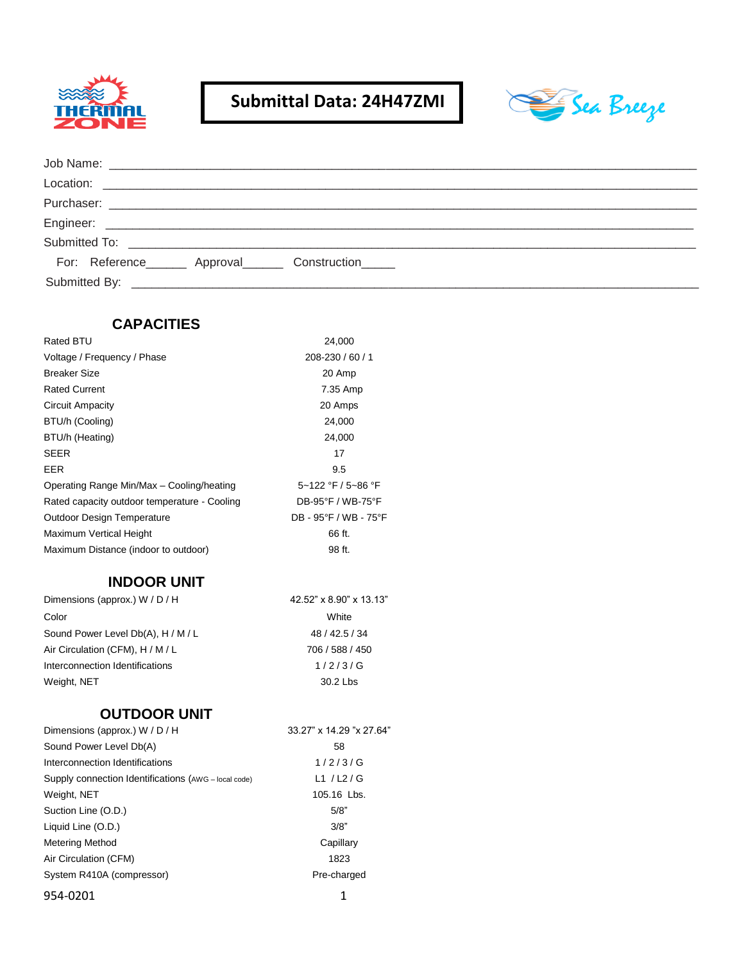

## **Submittal Data: 24H47ZMI**



|  | For: Reference_______ Approval_______ Construction_____ |  |  |
|--|---------------------------------------------------------|--|--|
|  |                                                         |  |  |

| <b>CAPACITIES</b>                                    |                          |
|------------------------------------------------------|--------------------------|
| Rated BTU                                            | 24,000                   |
| Voltage / Frequency / Phase                          | 208-230 / 60 / 1         |
| <b>Breaker Size</b>                                  | 20 Amp                   |
| <b>Rated Current</b>                                 | 7.35 Amp                 |
| Circuit Ampacity                                     | 20 Amps                  |
| BTU/h (Cooling)                                      | 24,000                   |
| BTU/h (Heating)                                      | 24,000                   |
| SEER                                                 | 17                       |
| EER                                                  | 9.5                      |
| Operating Range Min/Max - Cooling/heating            | 5~122 °F / 5~86 °F       |
| Rated capacity outdoor temperature - Cooling         | DB-95°F / WB-75°F        |
| <b>Outdoor Design Temperature</b>                    | DB - 95°F / WB - 75°F    |
| Maximum Vertical Height                              | 66 ft.                   |
| Maximum Distance (indoor to outdoor)                 | 98 ft.                   |
| <b>INDOOR UNIT</b>                                   |                          |
| Dimensions (approx.) W / D / H                       | 42.52" x 8.90" x 13.13"  |
| Color                                                | White                    |
| Sound Power Level Db(A), H / M / L                   | 48 / 42.5 / 34           |
| Air Circulation (CFM), H / M / L                     | 706 / 588 / 450          |
| Interconnection Identifications                      | 1/2/3/G                  |
| Weight, NET                                          | 30.2 Lbs                 |
| <b>OUTDOOR UNIT</b>                                  |                          |
| Dimensions (approx.) W / D / H                       | 33.27" x 14.29 "x 27.64" |
| Sound Power Level Db(A)                              | 58                       |
| Interconnection Identifications                      | 1/2/3/G                  |
| Supply connection Identifications (AWG - local code) | L1 $/L2/G$               |
| Weight, NET                                          | 105.16 Lbs.              |
| Suction Line (O.D.)                                  | 5/8"                     |
| Liquid Line (O.D.)                                   | 3/8"                     |
| <b>Metering Method</b>                               | Capillary                |
| Air Circulation (CFM)                                | 1823                     |
| System R410A (compressor)                            | Pre-charged              |
| 954-0201                                             | 1                        |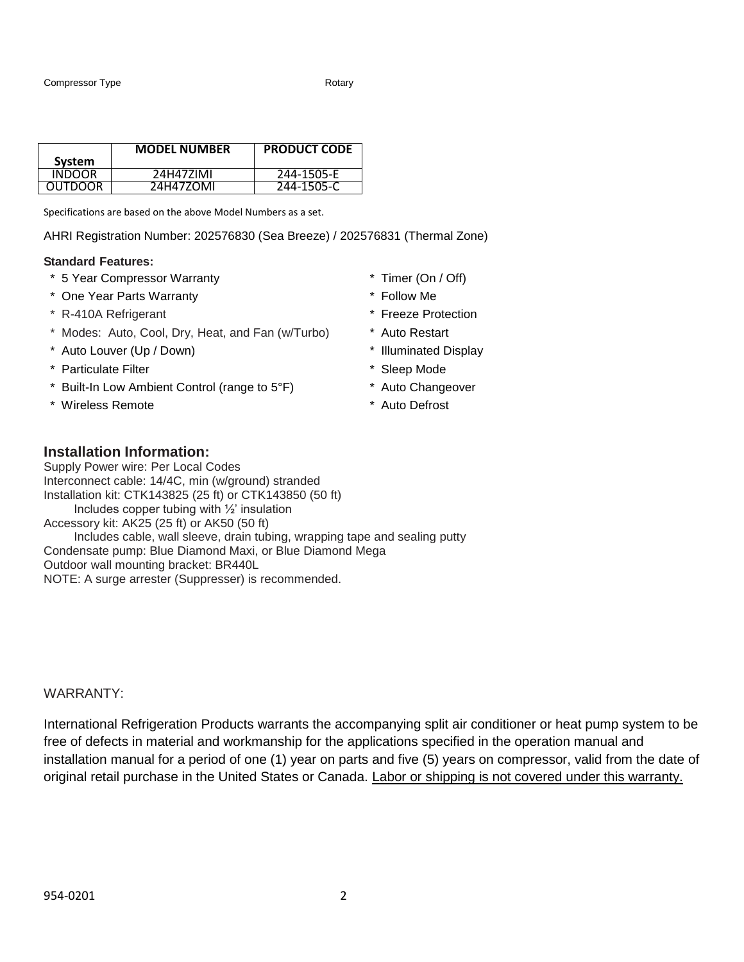|                | <b>MODEL NUMBER</b> | <b>PRODUCT CODE</b> |
|----------------|---------------------|---------------------|
| System         |                     |                     |
| <b>INDOOR</b>  | 24H47ZIMI           | 244-1505-E          |
| <b>OUTDOOR</b> | 24H47ZOMI           | 244-1505-C          |

Specifications are based on the above Model Numbers as a set.

AHRI Registration Number: 202576830 (Sea Breeze) / 202576831 (Thermal Zone)

#### **Standard Features:**

- \* 5 Year Compressor Warranty \* Timer (On / Off)
- \* One Year Parts Warranty \* Follow Me
- \* R-410A Refrigerant \* Freeze Protection
- \* Modes: Auto, Cool, Dry, Heat, and Fan (w/Turbo) \* Auto Restart
- \* Auto Louver (Up / Down) \* Illuminated Display
- \* Particulate Filter \* Sleep Mode
- \* Built-In Low Ambient Control (range to 5°F) \* Auto Changeover
- \* Wireless Remote **\*** Auto Defrost
- 
- 
- 
- 
- 
- 
- 
- 

#### **Installation Information:**

Supply Power wire: Per Local Codes Interconnect cable: 14/4C, min (w/ground) stranded Installation kit: CTK143825 (25 ft) or CTK143850 (50 ft) Includes copper tubing with ½' insulation Accessory kit: AK25 (25 ft) or AK50 (50 ft) Includes cable, wall sleeve, drain tubing, wrapping tape and sealing putty Condensate pump: Blue Diamond Maxi, or Blue Diamond Mega Outdoor wall mounting bracket: BR440L NOTE: A surge arrester (Suppresser) is recommended.

#### WARRANTY:

International Refrigeration Products warrants the accompanying split air conditioner or heat pump system to be free of defects in material and workmanship for the applications specified in the operation manual and installation manual for a period of one (1) year on parts and five (5) years on compressor, valid from the date of original retail purchase in the United States or Canada. Labor or shipping is not covered under this warranty.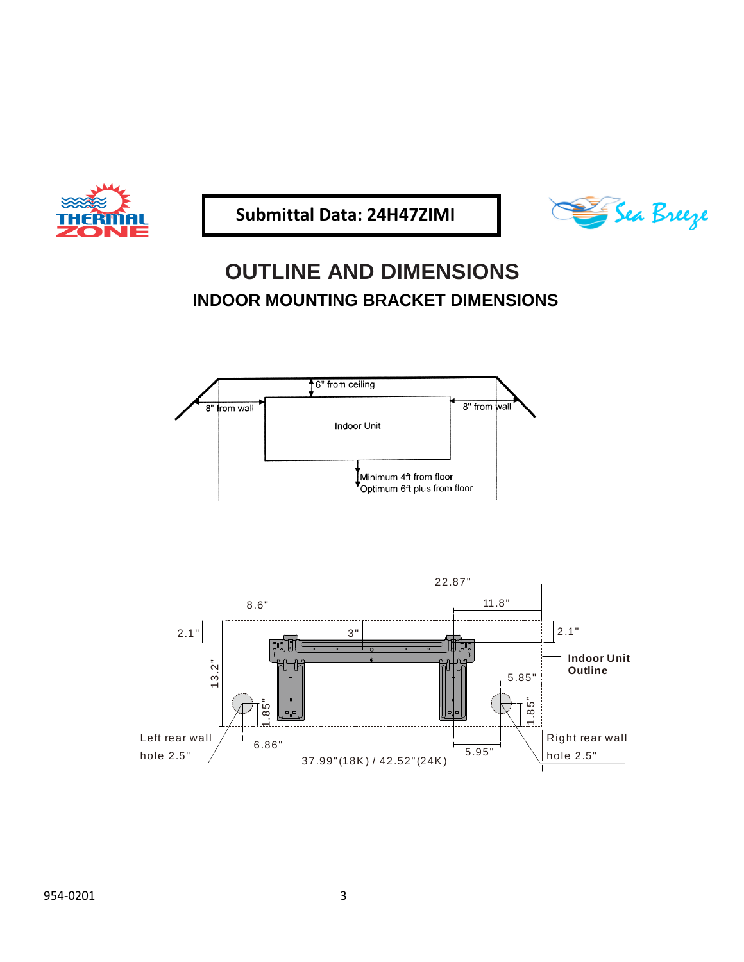

 **Submittal Data: 24H47ZIMI**



# **OUTLINE AND DIMENSIONS INDOOR MOUNTING BRACKET DIMENSIONS**